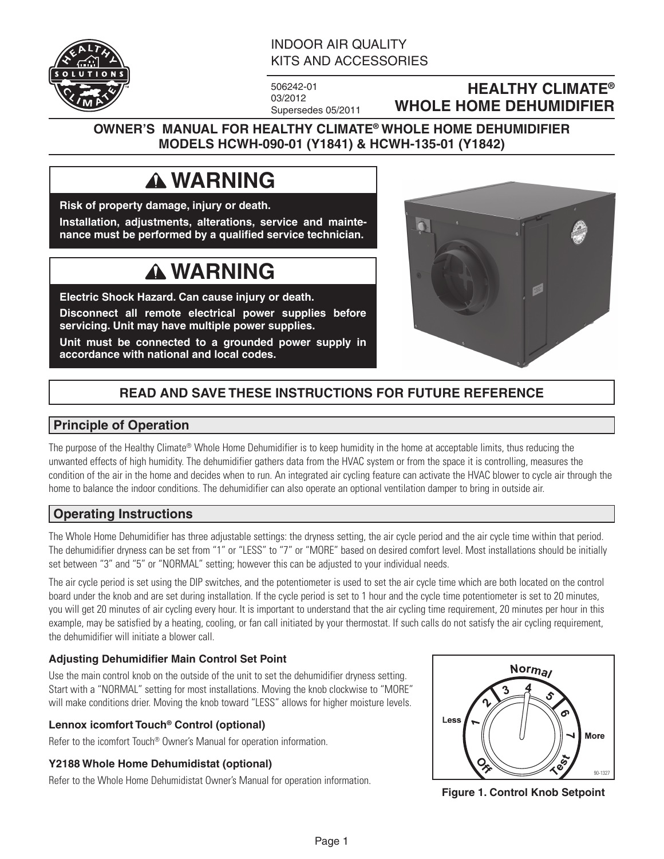

## INDOOR AIR QUALITY KITS AND ACCESSORIES

506242-01 03/2012 Supersedes 05/2011

## **HEALTHY CLIMATE® WHOLE HOME DEHUMIDIFIER**

## **OWNER'S MANUAL FOR HEALTHY CLIMATE® WHOLE HOME DEHUMIDIFIER MODELS HCWH-090-01 (Y1841) & HCWH-135-01 (Y1842)**

# **WARNING**

**Risk of property damage, injury or death. Installation, adjustments, alterations, service and maintenance must be performed by a qualified service technician.**

# **WARNING**

**Electric Shock Hazard. Can cause injury or death.**

**Disconnect all remote electrical power supplies before servicing. Unit may have multiple power supplies.**

**Unit must be connected to a grounded power supply in accordance with national and local codes.**



# **READ AND SAVE THESE INSTRUCTIONS FOR FUTURE REFERENCE**

### **Principle of Operation**

The purpose of the Healthy Climate® Whole Home Dehumidifier is to keep humidity in the home at acceptable limits, thus reducing the unwanted effects of high humidity. The dehumidifier gathers data from the HVAC system or from the space it is controlling, measures the condition of the air in the home and decides when to run. An integrated air cycling feature can activate the HVAC blower to cycle air through the home to balance the indoor conditions. The dehumidifier can also operate an optional ventilation damper to bring in outside air.

## **Operating Instructions**

The Whole Home Dehumidifier has three adjustable settings: the dryness setting, the air cycle period and the air cycle time within that period. The dehumidifier dryness can be set from "1" or "LESS" to "7" or "MORE" based on desired comfort level. Most installations should be initially set between "3" and "5" or "NORMAL" setting; however this can be adjusted to your individual needs.

The air cycle period is set using the DIP switches, and the potentiometer is used to set the air cycle time which are both located on the control board under the knob and are set during installation. If the cycle period is set to 1 hour and the cycle time potentiometer is set to 20 minutes, you will get 20 minutes of air cycling every hour. It is important to understand that the air cycling time requirement, 20 minutes per hour in this example, may be satisfied by a heating, cooling, or fan call initiated by your thermostat. If such calls do not satisfy the air cycling requirement, the dehumidifier will initiate a blower call.

### **Adjusting Dehumidifier Main Control Set Point**

Use the main control knob on the outside of the unit to set the dehumidifier dryness setting. Start with a "NORMAL" setting for most installations. Moving the knob clockwise to "MORE" will make conditions drier. Moving the knob toward "LESS" allows for higher moisture levels.

### **Lennox icomfort Touch® Control (optional)**

Refer to the icomfort Touch® Owner's Manual for operation information.

### **Y2188 Whole Home Dehumidistat (optional)**

Refer to the Whole Home Dehumidistat Owner's Manual for operation information.



**Figure 1. Control Knob Setpoint**